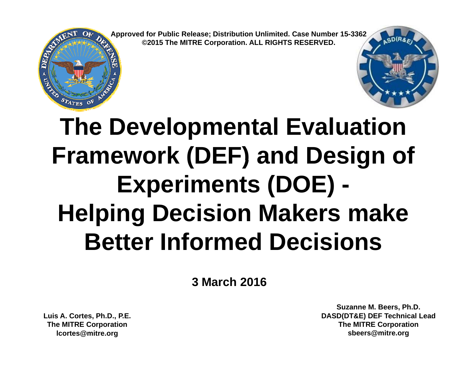**Approved for Public Release; Distribution Unlimited. Case Number 15-3362 ©2015 The MITRE Corporation. ALL RIGHTS RESERVED.**





## **The Developmental Evaluation Framework (DEF) and Design of Experiments (DOE) - Helping Decision Makers make Better Informed Decisions**

**3 March 2016**

**Luis A. Cortes, Ph.D., P.E. The MITRE Corporation lcortes@mitre.org**

**Suzanne M. Beers, Ph.D. DASD(DT&E) DEF Technical Lead The MITRE Corporation sbeers@mitre.org**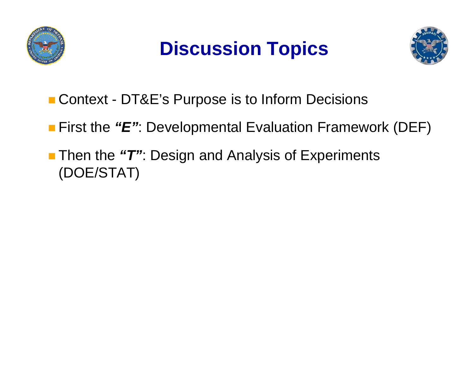





- Context DT&E's Purpose is to Inform Decisions
- First the "E": Developmental Evaluation Framework (DEF)
- Then the *" T "*: Design and Analysis of Experiments Experiments (DOE/STAT)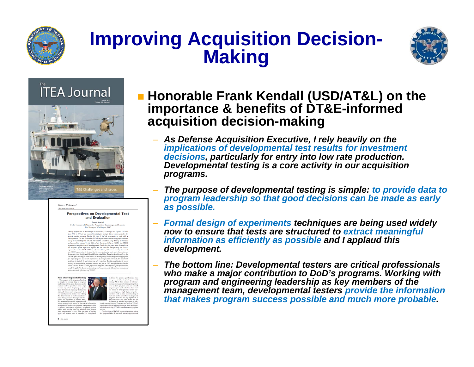

# **Improving Acquisition Decision- Making**



#### **ITEA Journal**





#### and Evaluation Frank Kendall



#### **Honorable Frank Kendall (USD/AT&L) on the im portance & benefits of DT&E-informed acquisition decision-making**

- *As Defense Acquisition Executive, I rely heavily on the implications of developmental test results for investment decisions,p y y p particularly for entry into low rate production. Developmental testing is a core activity in our acquisition programs.*
- *The purpose of developmental testing is simple: to provide data to program leadership so that good decisions can be made as early as possible possible.*
- *Formal design of experiments techniques are being used widely now to ensure that tests are structured to extract meaningful information as efficiently as possible and I applaud this development.*
- *The bottom line: Developmental testers are critical professionals who make a major contribution to DoD's programs. Working with program and engineering leadership as key members of the management team, developmental testers provide the information that makes program success possible and much more probable probable.*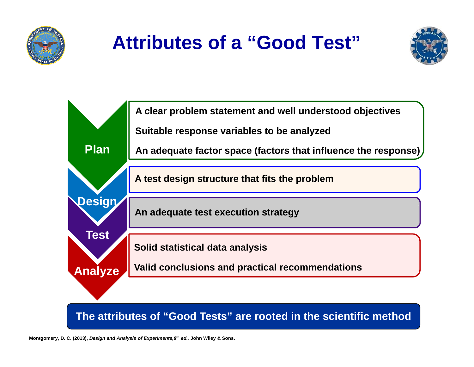

### **Attributes of a "Good Test"**





**The attributes of "Good Tests" are rooted in the scientific method**

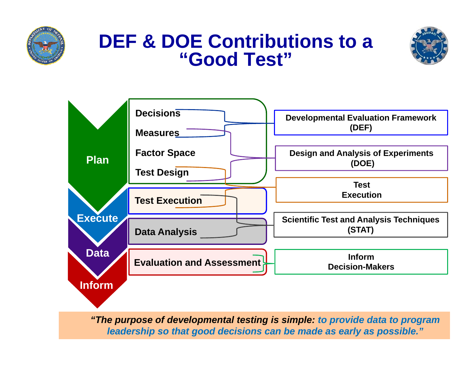

#### **DEF & DOE Contributions to a "Good Test"**





*"The purpose of developmental testing is simple: to provide data to program leadership so that good decisions can be made as early as possible."*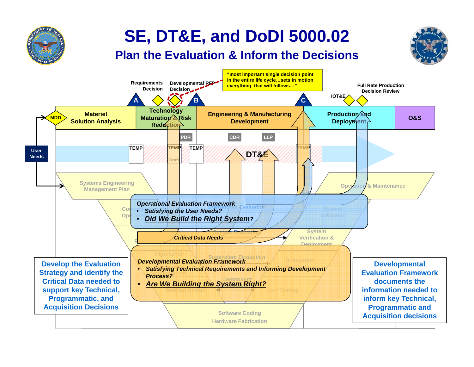

#### **SE, DT&E, and DoDI 5000.02**

#### **Plan the Evaluation & Inform the Decisions**

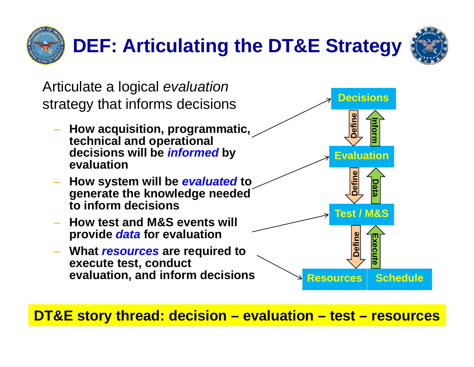



Articulate a logical *evaluation*  strategy that informs decisions **Decisions e How acquisition, programmatic, technical and operational decisions will be** *informed* **by Evaluation Define**<br>Inform **evaluation How system will be** *evaluated* **to generate the knowledge needed to inform decisionsDefine Data How test and M&S events will provide** *data* **for evaluation What** *resources* **are required to the contract of**  $\begin{bmatrix} 2 \\ 3 \\ 6 \end{bmatrix}$ **Test / M&S Define execute test, conduct evaluation, and inform decisions Resources Schedule Dute**

**DT&E story thread: decision – evaluation – test – resources**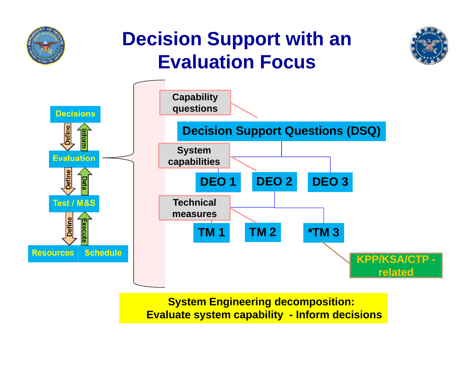

#### **Decision Support with an Evaluation Focus Focus**





**St Ei i Sys tem Engineering d iti ecomposition: Evaluate system capability - Inform decisions**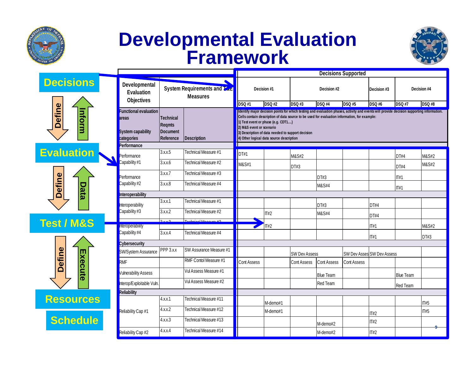

#### **Developmental Evaluation Framework**



|                                                       |                                                                                                           | <b>Decisions Supported</b>                                 |                         |                                                                                                                                                                                                                                                                                                                                                                                                               |          |                                                                |                  |                                   |                                              |                  |                  |
|-------------------------------------------------------|-----------------------------------------------------------------------------------------------------------|------------------------------------------------------------|-------------------------|---------------------------------------------------------------------------------------------------------------------------------------------------------------------------------------------------------------------------------------------------------------------------------------------------------------------------------------------------------------------------------------------------------------|----------|----------------------------------------------------------------|------------------|-----------------------------------|----------------------------------------------|------------------|------------------|
| <b>Decisions</b>                                      | Developmental<br>System Requirements and Zad<br><b>Evaluation</b><br><b>Measures</b><br><b>Objectives</b> |                                                            |                         | Decision #1<br><b>DSQ#2</b><br><b>DSQ#1</b>                                                                                                                                                                                                                                                                                                                                                                   |          | Decision #2<br><b>DSQ #3</b><br><b>DSQ #4</b><br><b>DSQ #5</b> |                  | Decision #3<br><b>DSQ#6</b>       | Decision #4<br><b>DSQ#8</b><br><b>DSQ #7</b> |                  |                  |
|                                                       |                                                                                                           |                                                            |                         |                                                                                                                                                                                                                                                                                                                                                                                                               |          |                                                                |                  |                                   |                                              |                  |                  |
| Define<br>Inform                                      | Functional evaluation<br>areas<br>System capability<br>categories                                         | Technical<br><b>Reqmts</b><br><b>Document</b><br>Reference | <b>Description</b>      | Ildentify major decision points for which testing and evaluation phases, activity and events will provide decision supporting information.<br>Cells contain description of data source to be used for evaluation information, for example:<br>1) Test event or phase (e.g. CDT1)<br>2) M&S event or scenario<br>3) Description of data needed to support decision<br>4) Other logical data source description |          |                                                                |                  |                                   |                                              |                  |                  |
|                                                       | Performance                                                                                               |                                                            |                         |                                                                                                                                                                                                                                                                                                                                                                                                               |          |                                                                |                  |                                   |                                              |                  |                  |
| <b>Evaluation</b>                                     | Performance                                                                                               | 3.x.x.5                                                    | Technical Measure #1    | DT#1                                                                                                                                                                                                                                                                                                                                                                                                          |          | M&S#2                                                          |                  |                                   |                                              | DT#4             | M&S#2            |
|                                                       | Capability #1                                                                                             | 3.x.x.6                                                    | Technical Measure #2    | M&S#1                                                                                                                                                                                                                                                                                                                                                                                                         |          | DT#3                                                           |                  |                                   |                                              | DT#4             | <b>M&amp;S#2</b> |
| <b>Define</b><br><b>Data</b><br><b>Test / M&amp;S</b> | Performance                                                                                               | 3.x.x.7                                                    | Technical Measure #3    |                                                                                                                                                                                                                                                                                                                                                                                                               |          |                                                                | DT#3             |                                   |                                              | $\Pi$ #1         |                  |
|                                                       | Capability #2                                                                                             | 3.x.x.8                                                    | Technical Measure #4    |                                                                                                                                                                                                                                                                                                                                                                                                               |          |                                                                | M&S#4            |                                   |                                              | $\Pi$ #1         |                  |
|                                                       | <b>Interoperability</b>                                                                                   |                                                            |                         |                                                                                                                                                                                                                                                                                                                                                                                                               |          |                                                                |                  |                                   |                                              |                  |                  |
|                                                       | Interoperability<br>Capability#3                                                                          | 3.x.x.1                                                    | Technical Measure #1    |                                                                                                                                                                                                                                                                                                                                                                                                               |          |                                                                | DT#3             |                                   | DT#4                                         |                  |                  |
|                                                       |                                                                                                           | 3.x.x.2                                                    | Technical Measure #2    |                                                                                                                                                                                                                                                                                                                                                                                                               | $\Pi$ #2 |                                                                | M&S#4            |                                   | DT#4                                         |                  |                  |
|                                                       | <b>Interoperability</b>                                                                                   | 2.42                                                       | Tophpical Monoura #2    |                                                                                                                                                                                                                                                                                                                                                                                                               |          |                                                                |                  |                                   |                                              |                  |                  |
|                                                       | Capability #4                                                                                             | 3.x.x.4                                                    | Technical Measure #4    |                                                                                                                                                                                                                                                                                                                                                                                                               | IT#2     |                                                                |                  |                                   | IT#1<br>$\Pi$ #1                             |                  | M&S#2<br>DT#3    |
|                                                       | Cybersecurity                                                                                             |                                                            |                         |                                                                                                                                                                                                                                                                                                                                                                                                               |          |                                                                |                  |                                   |                                              |                  |                  |
|                                                       | PPP 3.x.x<br>SW/System Assurance                                                                          |                                                            | SW Assurance Measure #1 |                                                                                                                                                                                                                                                                                                                                                                                                               |          | <b>SW Dev Assess</b>                                           |                  | <b>SW Dev Asses SW Dev Assess</b> |                                              |                  |                  |
| Define                                                | RMF                                                                                                       |                                                            | RMF Contol Measure #1   | <b>Cont Assess</b>                                                                                                                                                                                                                                                                                                                                                                                            |          | <b>Cont Assess</b>                                             | Cont Assess      | <b>Cont Assess</b>                |                                              |                  |                  |
| Execute                                               | Vulnerability Assess                                                                                      |                                                            | Vul Assess Measure #1   |                                                                                                                                                                                                                                                                                                                                                                                                               |          |                                                                | <b>Blue Team</b> |                                   |                                              | <b>Blue Team</b> |                  |
|                                                       | Interop/Exploitable Vuln.                                                                                 |                                                            | Vul Assess Measure #2   |                                                                                                                                                                                                                                                                                                                                                                                                               |          |                                                                | Red Team         |                                   |                                              | <b>Red Team</b>  |                  |
|                                                       | Reliability                                                                                               |                                                            |                         |                                                                                                                                                                                                                                                                                                                                                                                                               |          |                                                                |                  |                                   |                                              |                  |                  |
| <b>Resources</b>                                      |                                                                                                           | 4.x.x.1                                                    | Technical Measure #11   |                                                                                                                                                                                                                                                                                                                                                                                                               | M-demo#1 |                                                                |                  |                                   |                                              |                  | <b>IT#5</b>      |
| <b>Schedule</b>                                       | Reliability Cap <sup>#1</sup>                                                                             | 4.x.x.2                                                    | Technical Measure #12   |                                                                                                                                                                                                                                                                                                                                                                                                               | M-demo#1 |                                                                |                  |                                   | $\Pi#2$                                      |                  | <b>IT#5</b>      |
|                                                       |                                                                                                           | 4.x.x.3                                                    | Technical Measure #13   |                                                                                                                                                                                                                                                                                                                                                                                                               |          |                                                                | M-demo#2         |                                   | $\Pi$ #2                                     |                  |                  |
|                                                       | Reliability Cap #2                                                                                        | 4.x.x.4                                                    | Technical Measure #14   |                                                                                                                                                                                                                                                                                                                                                                                                               |          |                                                                | M-demo#2         |                                   | <b>IT#2</b>                                  |                  |                  |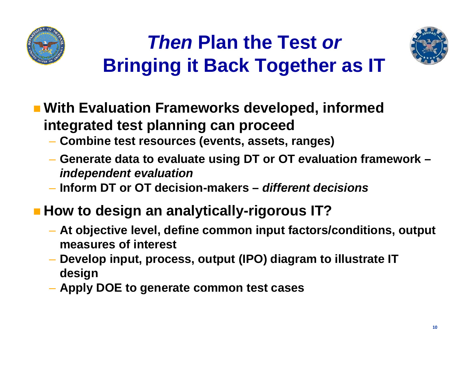

#### *Then* **Plan the Test** *or* **Bringing it Back Together as IT Bringing**



- $\blacksquare$  **With Evaluation Frameworks developed, informed integrated test planning can proceed**
	- **Combine test resources (events, assets, ranges)**
	- Generate data to evaluate using DT or OT evaluation framework *independent evaluation*
	- **Inform DT or OT decision-makers –** *different decisions*
- **H td i ow to design an anal ti ll lytically-ri IT? gorous** 
	- **At objective level, define common input factors/conditions, output measures of interest**
	- **Develop input, process, output (IPO) diagram to illustrate IT design**
	- **Apply DOE to generate common test cases**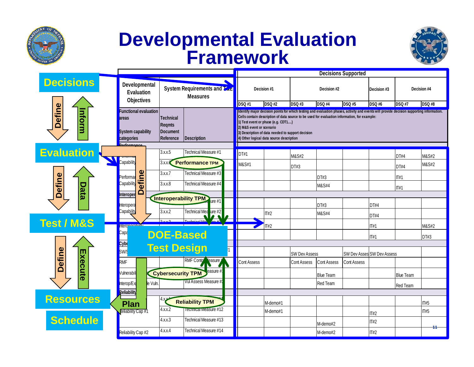

#### **Developmental Evaluation Framework**



|                        | <b>Decisions Supported</b>                                                            |                                                                           |                              |                                                                                                                                                                                                                                                                                                                                                                                                               |               |                      |                    |                    |                                   |                  |               |
|------------------------|---------------------------------------------------------------------------------------|---------------------------------------------------------------------------|------------------------------|---------------------------------------------------------------------------------------------------------------------------------------------------------------------------------------------------------------------------------------------------------------------------------------------------------------------------------------------------------------------------------------------------------------|---------------|----------------------|--------------------|--------------------|-----------------------------------|------------------|---------------|
| <b>Decisions</b>       | Developmental                                                                         | System Requirements and Zac<br><b>Measures</b>                            |                              | Decision #1                                                                                                                                                                                                                                                                                                                                                                                                   |               | Decision #2          |                    | Decision #3        |                                   | Decision #4      |               |
|                        | <b>Objectives</b>                                                                     |                                                                           | <b>DSQ#1</b>                 |                                                                                                                                                                                                                                                                                                                                                                                                               | <b>DSQ #2</b> | <b>DSQ #3</b>        | <b>DSQ #4</b>      | <b>DSQ #5</b>      | <b>DSQ #6</b>                     | <b>DSQ #7</b>    | <b>DSQ #8</b> |
| <b>Define</b><br>nform | <b>Functional evaluation</b><br>areas<br>System capability<br>categories<br>rformanoo | Technical<br>Reqmts<br><b>Document</b><br>Reference<br><b>Description</b> |                              | Ildentify major decision points for which testing and evaluation phases, activity and events will provide decision supporting information.<br>Cells contain description of data source to be used for evaluation information, for example:<br>1) Test event or phase (e.g. CDT1)<br>2) M&S event or scenario<br>3) Description of data needed to support decision<br>4) Other logical data source description |               |                      |                    |                    |                                   |                  |               |
| <b>Evaluation</b>      |                                                                                       | 3.x.x.5                                                                   | Technical Measure #1         | DT#1                                                                                                                                                                                                                                                                                                                                                                                                          |               |                      |                    |                    |                                   |                  |               |
|                        | Capability                                                                            | 3.8.8                                                                     | <b>Performance TPM</b>       |                                                                                                                                                                                                                                                                                                                                                                                                               |               | M&S#2                |                    |                    |                                   | DT#4             | M&S#2         |
|                        |                                                                                       |                                                                           |                              | M&S#1                                                                                                                                                                                                                                                                                                                                                                                                         |               | DT#3                 |                    |                    |                                   | <b>DT#4</b>      | M&S#2         |
| <b>Define</b><br>Data  | Performa                                                                              | 3.x.x.7                                                                   | Technical Measure #3         |                                                                                                                                                                                                                                                                                                                                                                                                               |               |                      | DT#3               |                    |                                   | IT#1             |               |
|                        | efine<br>Capability                                                                   | 3.x.x.8                                                                   | Technical Measure #4         |                                                                                                                                                                                                                                                                                                                                                                                                               |               |                      | M&S#4              |                    |                                   | $\Pi$ #1         |               |
|                        | Õ<br>Interoper                                                                        |                                                                           | <b>Interoperability TPM</b>  |                                                                                                                                                                                                                                                                                                                                                                                                               |               |                      |                    |                    |                                   |                  |               |
|                        | Interopera                                                                            |                                                                           | ure #1                       |                                                                                                                                                                                                                                                                                                                                                                                                               |               |                      | DT#3               |                    | DT#4                              |                  |               |
|                        | Capability                                                                            | 3.x.x.2                                                                   | Technical Measure #2         |                                                                                                                                                                                                                                                                                                                                                                                                               | <b>IT#2</b>   |                      | M&S#4              |                    | DT#4                              |                  |               |
| <b>Test / M&amp;S</b>  | ntera                                                                                 |                                                                           |                              |                                                                                                                                                                                                                                                                                                                                                                                                               | IT#2          |                      |                    |                    | $\Pi$ #1                          |                  | M&S#2         |
|                        | Capa <mark>r</mark>                                                                   | <b>DOE-Based</b>                                                          |                              |                                                                                                                                                                                                                                                                                                                                                                                                               |               |                      |                    |                    | $\Pi$ #1                          |                  | DT#3          |
|                        | <mark>Cyb(</mark>                                                                     |                                                                           |                              |                                                                                                                                                                                                                                                                                                                                                                                                               |               |                      |                    |                    |                                   |                  |               |
|                        | <b>SW/S</b>                                                                           | <b>Test Design</b>                                                        |                              |                                                                                                                                                                                                                                                                                                                                                                                                               |               | <b>SW Dev Assess</b> |                    |                    | <b>SW Dev Asses SW Dev Assess</b> |                  |               |
| Define                 | RMF                                                                                   |                                                                           | RMF Conto leasure            | <b>Cont Assess</b>                                                                                                                                                                                                                                                                                                                                                                                            |               | <b>Cont Assess</b>   | <b>Cont Assess</b> | <b>Cont Assess</b> |                                   |                  |               |
| Execute                | /ulnerabil                                                                            | leasure #<br><b>Cybersecurity TPM</b>                                     |                              |                                                                                                                                                                                                                                                                                                                                                                                                               |               |                      | <b>Blue Team</b>   |                    |                                   | <b>Blue Team</b> |               |
|                        | le Vuln.<br>Interop/Ex                                                                |                                                                           | Vul Assess Measure #         |                                                                                                                                                                                                                                                                                                                                                                                                               |               |                      | Red Team           |                    |                                   | Red Team         |               |
|                        | <b>Reliability</b>                                                                    |                                                                           |                              |                                                                                                                                                                                                                                                                                                                                                                                                               |               |                      |                    |                    |                                   |                  |               |
| <b>Resources</b>       | <b>Plan</b>                                                                           |                                                                           | <b>Reliability TPM</b>       |                                                                                                                                                                                                                                                                                                                                                                                                               | M-demo#1      |                      |                    |                    |                                   |                  | $\Pi$ #5      |
|                        | <b>Reliability Cap #1</b>                                                             | 4.x.x.2                                                                   | <b>Tecnnical Measure #12</b> |                                                                                                                                                                                                                                                                                                                                                                                                               | M-demo#1      |                      |                    |                    | <b>IT#2</b>                       |                  | <b>IT#5</b>   |
| <b>Schedule</b>        |                                                                                       | 4.x.x.3                                                                   | Technical Measure #13        |                                                                                                                                                                                                                                                                                                                                                                                                               |               |                      | M-demo#2           |                    | <b>IT#2</b>                       |                  |               |
|                        | Reliability Cap #2                                                                    | 4.x.x.4                                                                   | Technical Measure #14        |                                                                                                                                                                                                                                                                                                                                                                                                               |               |                      | M-demo#2           |                    | $\Pi#2$                           |                  |               |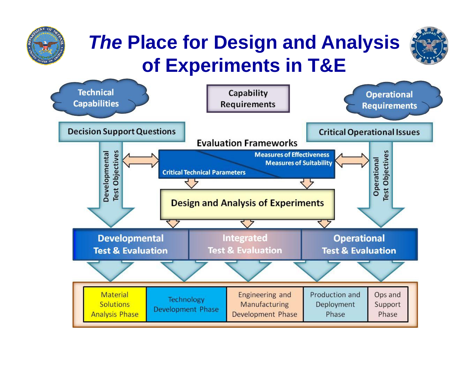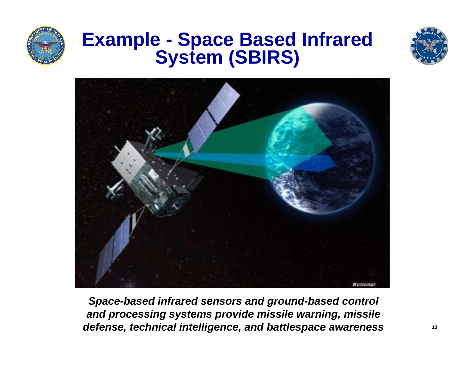

# **Example - Space Based Infrared System (SBIRS)**





**Space-based infrared sensors and ground-based control** *land processing systems provide missile warning, missile defense, technical intelligence, and battlespace awareness*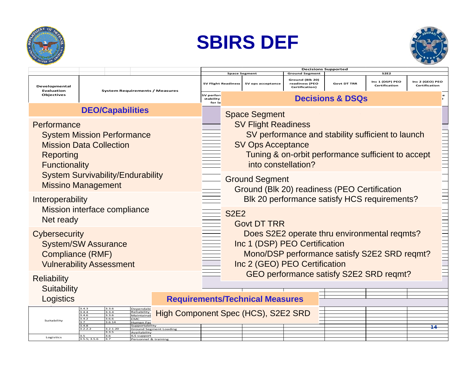





|                                                               |                                                                                                                                                                                    |                                                                                   | <b>Decisions Supported</b><br><b>Ground Segment</b>                                                                                                            |                                                                                                                                                                                                          |                      |                                                     |                    |                                  |                                  |  |  |  |
|---------------------------------------------------------------|------------------------------------------------------------------------------------------------------------------------------------------------------------------------------------|-----------------------------------------------------------------------------------|----------------------------------------------------------------------------------------------------------------------------------------------------------------|----------------------------------------------------------------------------------------------------------------------------------------------------------------------------------------------------------|----------------------|-----------------------------------------------------|--------------------|----------------------------------|----------------------------------|--|--|--|
|                                                               |                                                                                                                                                                                    |                                                                                   |                                                                                                                                                                |                                                                                                                                                                                                          | <b>Space Segment</b> | <b>S2E2</b>                                         |                    |                                  |                                  |  |  |  |
| Developmental<br>Evaluation<br><b>Objectives</b>              | <b>System Requirements / Measures</b>                                                                                                                                              |                                                                                   | <b>SV Flight Readiness</b>                                                                                                                                     |                                                                                                                                                                                                          | SV ops acceptance    | Ground (Blk 20)<br>readiness (PEO<br>Certification) | <b>Govt DT TRR</b> | Inc 1 (DSP) PEO<br>Certification | Inc 2 (GEO) PEO<br>Certification |  |  |  |
|                                                               |                                                                                                                                                                                    |                                                                                   | SV perfori<br>stability<br>for la                                                                                                                              |                                                                                                                                                                                                          |                      |                                                     |                    |                                  |                                  |  |  |  |
|                                                               | <b>DEO/Capabilities</b>                                                                                                                                                            |                                                                                   |                                                                                                                                                                | <b>Space Segment</b>                                                                                                                                                                                     |                      |                                                     |                    |                                  |                                  |  |  |  |
| Performance<br>Reporting<br><b>Functionality</b>              | <b>System Mission Performance</b><br><b>Mission Data Collection</b>                                                                                                                |                                                                                   |                                                                                                                                                                | <b>SV Flight Readiness</b><br>SV performance and stability sufficient to launch<br><b>THEFT</b><br><b>SV Ops Acceptance</b><br>Tuning & on-orbit performance sufficient to accept<br>into constellation? |                      |                                                     |                    |                                  |                                  |  |  |  |
|                                                               | <b>System Survivability/Endurability</b><br><b>Missino Management</b>                                                                                                              |                                                                                   |                                                                                                                                                                | <b>Ground Segment</b><br>Ground (Blk 20) readiness (PEO Certification                                                                                                                                    |                      |                                                     |                    |                                  |                                  |  |  |  |
| Interoperability<br>Mission interface compliance<br>Net ready |                                                                                                                                                                                    | Blk 20 performance satisfy HCS requirements?<br><b>S2E2</b><br><b>Govt DT TRR</b> |                                                                                                                                                                |                                                                                                                                                                                                          |                      |                                                     |                    |                                  |                                  |  |  |  |
| Cybersecurity<br><b>Compliance (RMF)</b>                      | <b>System/SW Assurance</b><br><b>Vulnerability Assessment</b>                                                                                                                      |                                                                                   | Does S2E2 operate thru environmental regmts?<br>Inc 1 (DSP) PEO Certification<br>Mono/DSP performance satisfy S2E2 SRD reqmt?<br>Inc 2 (GEO) PEO Certification |                                                                                                                                                                                                          |                      |                                                     |                    |                                  |                                  |  |  |  |
| <b>Reliability</b>                                            |                                                                                                                                                                                    |                                                                                   |                                                                                                                                                                |                                                                                                                                                                                                          |                      | GEO performance satisfy S2E2 SRD reqmt?             |                    | =====================            |                                  |  |  |  |
| Suitability                                                   |                                                                                                                                                                                    |                                                                                   |                                                                                                                                                                |                                                                                                                                                                                                          |                      |                                                     |                    |                                  |                                  |  |  |  |
| Logistics                                                     |                                                                                                                                                                                    | <b>Requirements/Technical Measures</b>                                            |                                                                                                                                                                |                                                                                                                                                                                                          |                      |                                                     |                    |                                  |                                  |  |  |  |
| Suitability                                                   | Dependabi<br>3.3.4<br>3.4.4<br>Reliability<br>3.4.6<br>3.3.6<br>Maintainab<br>3.4.2<br>3.6.6<br><b>MC</b><br>3.6.14<br>Human Fac<br>3.4.8<br>Supportability<br>3.2.2.2<br>3.2.1.20 | High Component Spec (HCS), S2E2 SRD<br><b>Ground Segment Loading</b>              |                                                                                                                                                                |                                                                                                                                                                                                          |                      |                                                     |                    |                                  | 14                               |  |  |  |
| Logistics                                                     | 3.3.5<br>Availabilitv<br>3.6<br>ILS support<br>3.5.5; 3.5.6<br>13.7                                                                                                                | Personnel & training                                                              |                                                                                                                                                                |                                                                                                                                                                                                          |                      |                                                     |                    |                                  |                                  |  |  |  |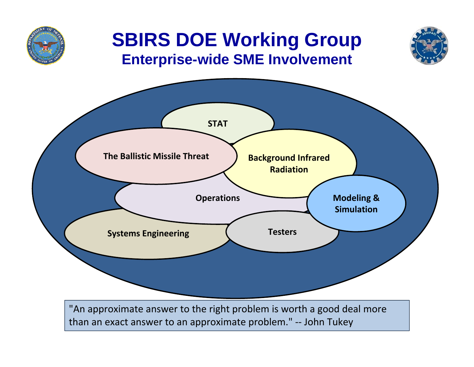

#### **SBIRS DOE Working Group Enterprise-wide SME Involvement**



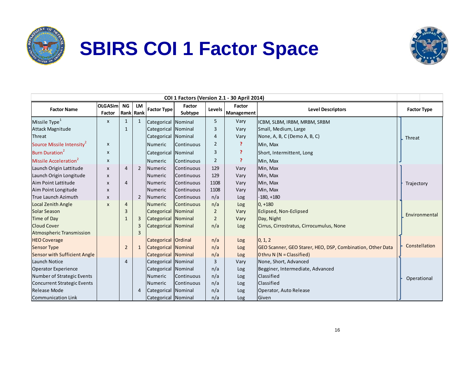

### **SBIRS COI 1 Factor Space**



| COI 1 Factors (Version 2.1 - 30 April 2014) |                           |                |                 |                            |                   |                |                      |                                                            |                    |  |
|---------------------------------------------|---------------------------|----------------|-----------------|----------------------------|-------------------|----------------|----------------------|------------------------------------------------------------|--------------------|--|
| <b>Factor Name</b>                          | OLGASim<br>Factor         | <b>NG</b>      | LM<br>Rank Rank | <b>Factor Type</b>         | Factor<br>Subtype | Levels         | Factor<br>Management | <b>Level Descriptors</b>                                   | <b>Factor Type</b> |  |
| Missile Type <sup>1</sup>                   | $\pmb{\chi}$              | $\mathbf{1}$   |                 | Categorical Nominal        |                   | 5              | Vary                 | ICBM, SLBM, IRBM, MRBM, SRBM                               |                    |  |
| Attack Magnitude                            |                           | $\mathbf{1}$   |                 | Categorical Nominal        |                   | 3              | Vary                 | Small, Medium, Large                                       |                    |  |
| <b>Threat</b>                               |                           |                |                 | Categorical Nominal        |                   | $\overline{4}$ | Vary                 | None, A, B, C (Demo A, B, C)                               | Threat             |  |
| Source Missile Intensity <sup>2</sup>       | X                         |                |                 | Numeric                    | Continuous        | $\overline{2}$ | P                    | Min, Max                                                   |                    |  |
| Burn Duration <sup>2</sup>                  | $\boldsymbol{\mathsf{x}}$ |                |                 | Categorical                | Nominal           | 3              | P.                   | Short, Intermittent, Long                                  |                    |  |
| Missile Acceleration <sup>2</sup>           | $\pmb{\chi}$              |                |                 | Numeric                    | Continuous        | $\overline{2}$ | P                    | Min, Max                                                   |                    |  |
| Launch Origin Lattitude                     | $\boldsymbol{\mathsf{x}}$ | $\overline{4}$ | $\overline{2}$  | Numeric                    | Continuous        | 129            | Vary                 | Min, Max                                                   |                    |  |
| Launch Origin Longitude                     | X                         |                |                 | Numeric                    | Continuous        | 129            | Vary                 | Min, Max                                                   |                    |  |
| Aim Point Lattitude                         | X                         | $\overline{4}$ |                 | Numeric                    | Continuous        | 1108           | Vary                 | Min, Max                                                   | Trajectory         |  |
| Aim Point Longitude                         | X                         |                |                 | Numeric                    | Continuous        | 1108           | Vary                 | Min, Max                                                   |                    |  |
| True Launch Azimuth                         | X                         |                | $\overline{2}$  | <b>Numeric</b>             | Continuous        | n/a            | Log                  | $-180, +180$                                               |                    |  |
| Local Zenith Angle                          | $\pmb{\mathsf{x}}$        | 4              |                 | <b>Numeric</b>             | Continuous        | n/a            | Log                  | $0, +180$                                                  |                    |  |
| Solar Season                                |                           | 3              |                 | Categorical                | <b>Nominal</b>    | $\overline{2}$ | Vary                 | Eclipsed, Non-Eclipsed                                     | Environmental      |  |
| Time of Day                                 |                           | $\mathbf{1}$   | 3               | Categorical Nominal        |                   | $\overline{2}$ | Vary                 | Day, Night                                                 |                    |  |
| <b>Cloud Cover</b>                          |                           |                |                 | Categorical Nominal        |                   | n/a            | Log                  | Cirrus, Cirrostratus, Cirrocumulus, None                   |                    |  |
| Atmospheric Transmission                    |                           |                | 3               |                            |                   |                |                      |                                                            |                    |  |
| <b>HEO Coverage</b>                         |                           |                |                 | Categorical Ordinal        |                   | n/a            | Log                  | 0, 1, 2                                                    |                    |  |
| <b>Sensor Type</b>                          |                           | $\overline{2}$ |                 | Categorical Nominal        |                   | n/a            | Log                  | GEO Scanner, GEO Starer, HEO, DSP, Combination, Other Data | Constellation      |  |
| <b>Sensor with Sufficient Angle</b>         |                           |                |                 | <b>Categorical Nominal</b> |                   | n/a            | Log                  | O thru $N (N = Classified)$                                |                    |  |
| Launch Notice                               |                           | $\overline{4}$ |                 | Categorical Nominal        |                   | 3              | Vary                 | None, Short, Advanced                                      |                    |  |
| <b>Operator Experience</b>                  |                           |                |                 | Categorical Nominal        |                   | n/a            | Log                  | Begginer, Intermediate, Advanced                           |                    |  |
| Number of Strategic Events                  |                           |                |                 | Numeric                    | Continuous        | n/a            | Log                  | Classified                                                 | Operational        |  |
| <b>Concurrent Strategic Events</b>          |                           |                |                 | Numeric                    | Continuous        | n/a            | Log                  | Classified                                                 |                    |  |
| <b>Release Mode</b>                         |                           |                | 4               | Categorical Nominal        |                   | n/a            | Log                  | Operator, Auto Release                                     |                    |  |
| Communication Link                          |                           |                |                 | Categorical Nominal        |                   | n/a            | Log                  | Given                                                      |                    |  |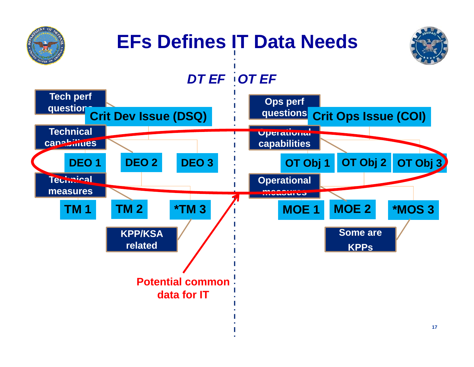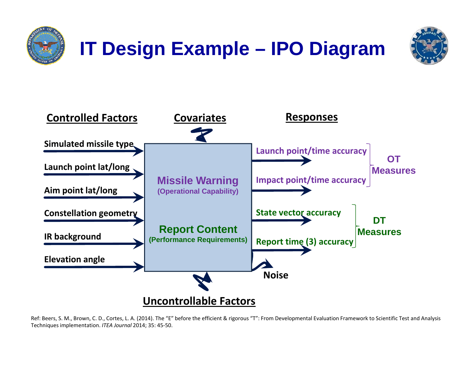





Ref: Beers, S. M., Brown, C. D., Cortes, L. A. (2014). The "E" before the efficient & rigorous "T": From Developmental Evaluation Framework to Scientific Test and Analysis Techniques implementation. *ITEA Journal* 2014; 35: 45-50.